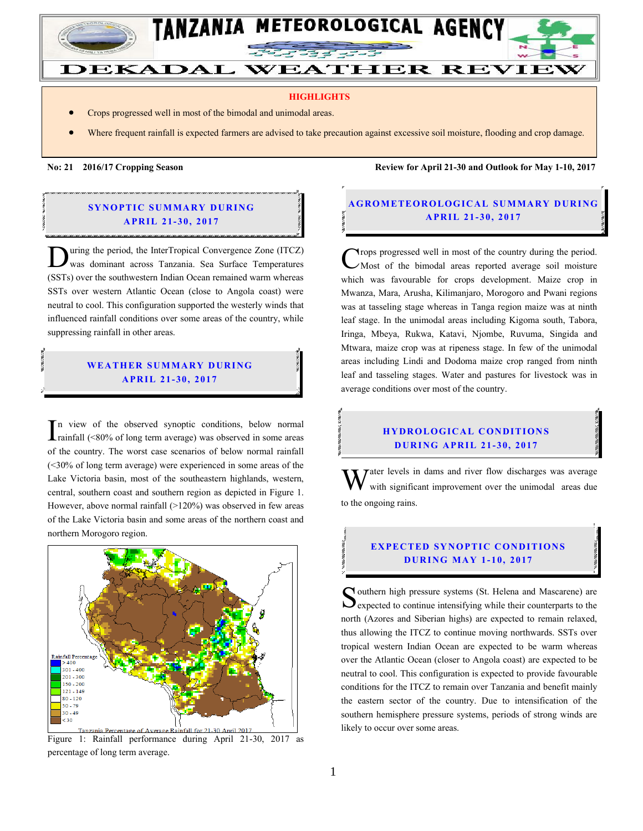

#### **HIGHLIGHTS**

- Crops progressed well in most of the bimodal and unimodal areas.
- Where frequent rainfall is expected farmers are advised to take precaution against excessive soil moisture, flooding and crop damage.

**No: 21 2016/17 Cropping Season Review for April 21-30 and Outlook for May 1-10, 2017**

#### **SYNOPTIC SUMMARY DURING A PR IL 21- 30, 2017**

uring the period, the InterTropical Convergence Zone (ITCZ) was dominant across Tanzania. Sea Surface Temperatures Ultrage the period, the InterTropical Convergence Zone (ITCZ) was dominant across Tanzania. Sea Surface Temperatures (SSTs) over the southwestern Indian Ocean remained warm whereas SSTs over western Atlantic Ocean (close to Angola coast) were neutral to cool. This configuration supported the westerly winds that influenced rainfall conditions over some areas of the country, while suppressing rainfall in other areas.

#### **WEATHER SUMMARY DURING A PR IL 21- 30, 2017**

n view of the observed synoptic conditions, below normal rainfall (<80% of long term average) was observed in some areas of the country. The worst case scenarios of below normal rainfall (<30% of long term average) were experienced in some areas of the Lake Victoria basin, most of the southeastern highlands, western, central, southern coast and southern region as depicted in Figure 1. However, above normal rainfall  $(>120%)$  was observed in few areas of the Lake Victoria basin and some areas of the northern coast and northern Morogoro region. I



Figure 1: Rainfall performance during April 21-30, 2017 as percentage of long term average.

### **A G ROMETEO R O LOG ICA L SU MMA RY D UR ING A PR IL 21 - 30 , 2017**

rops progressed well in most of the country during the period. Most of the bimodal areas reported average soil moisture which was favourable for crops development. Maize crop in Mwanza, Mara, Arusha, Kilimanjaro, Morogoro and Pwani regions was at tasseling stage whereas in Tanga region maize was at ninth leaf stage. In the unimodal areas including Kigoma south, Tabora, Iringa, Mbeya, Rukwa, Katavi, Njombe, Ruvuma, Singida and Mtwara, maize crop was at ripeness stage. In few of the unimodal areas including Lindi and Dodoma maize crop ranged from ninth leaf and tasseling stages. Water and pastures for livestock was in average conditions over most of the country. C

# **HYDROLOGICAL CONDITIONS D UR ING A PR IL 21 - 30, 2017**

 $\tau$ ater levels in dams and river flow discharges was average with significant improvement over the unimodal areas due to the ongoing rains. W

## **EXPECTED SYNOPTIC CONDITIONS D UR ING MA Y 1- 10, 2017**

Southern high pressure systems (St. Helena and Mascarene) are expected to continue intensifying while their counterparts to the  $\bigcup$  expected to continue intensifying while their counterparts to the north (Azores and Siberian highs) are expected to remain relaxed, thus allowing the ITCZ to continue moving northwards. SSTs over tropical western Indian Ocean are expected to be warm whereas over the Atlantic Ocean (closer to Angola coast) are expected to be neutral to cool. This configuration is expected to provide favourable conditions for the ITCZ to remain over Tanzania and benefit mainly the eastern sector of the country. Due to intensification of the southern hemisphere pressure systems, periods of strong winds are likely to occur over some areas.